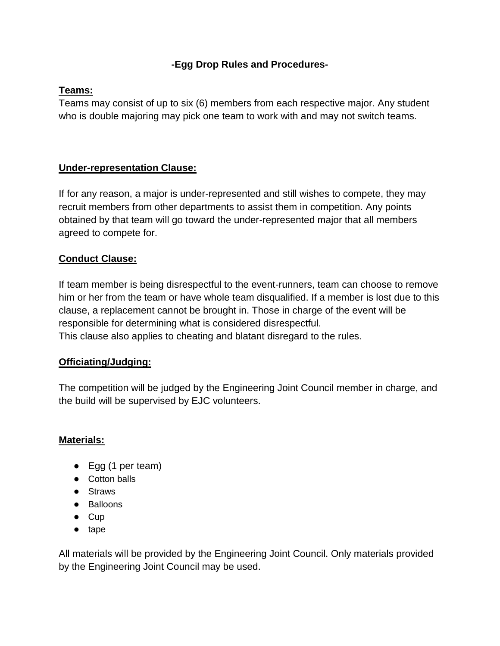# **-Egg Drop Rules and Procedures-**

## **Teams:**

Teams may consist of up to six (6) members from each respective major. Any student who is double majoring may pick one team to work with and may not switch teams.

# **Under-representation Clause:**

If for any reason, a major is under-represented and still wishes to compete, they may recruit members from other departments to assist them in competition. Any points obtained by that team will go toward the under-represented major that all members agreed to compete for.

# **Conduct Clause:**

If team member is being disrespectful to the event-runners, team can choose to remove him or her from the team or have whole team disqualified. If a member is lost due to this clause, a replacement cannot be brought in. Those in charge of the event will be responsible for determining what is considered disrespectful. This clause also applies to cheating and blatant disregard to the rules.

#### **Officiating/Judging:**

The competition will be judged by the Engineering Joint Council member in charge, and the build will be supervised by EJC volunteers.

#### **Materials:**

- Egg (1 per team)
- Cotton balls
- Straws
- Balloons
- Cup
- tape

All materials will be provided by the Engineering Joint Council. Only materials provided by the Engineering Joint Council may be used.